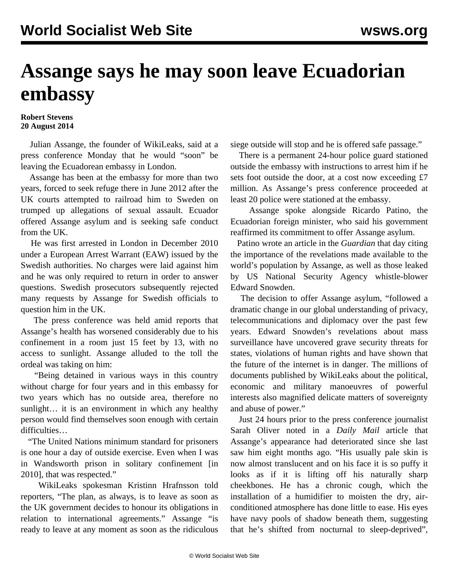## **Assange says he may soon leave Ecuadorian embassy**

## **Robert Stevens 20 August 2014**

 Julian Assange, the founder of WikiLeaks, said at a press conference Monday that he would "soon" be leaving the Ecuadorean embassy in London.

 Assange has been at the embassy for more than two years, forced to seek refuge there in June 2012 after the UK courts attempted to railroad him to Sweden on trumped up allegations of sexual assault. Ecuador offered Assange asylum and is seeking safe conduct from the UK.

 He was first arrested in London in December 2010 under a European Arrest Warrant (EAW) issued by the Swedish authorities. No charges were laid against him and he was only required to return in order to answer questions. Swedish prosecutors subsequently rejected many requests by Assange for Swedish officials to question him in the UK.

 The press conference was held amid reports that Assange's health has worsened considerably due to his confinement in a room just 15 feet by 13, with no access to sunlight. Assange alluded to the toll the ordeal was taking on him:

 "Being detained in various ways in this country without charge for four years and in this embassy for two years which has no outside area, therefore no sunlight… it is an environment in which any healthy person would find themselves soon enough with certain difficulties…

 "The United Nations minimum standard for prisoners is one hour a day of outside exercise. Even when I was in Wandsworth prison in solitary confinement [in 2010], that was respected."

 WikiLeaks spokesman Kristinn Hrafnsson told reporters, "The plan, as always, is to leave as soon as the UK government decides to honour its obligations in relation to international agreements." Assange "is ready to leave at any moment as soon as the ridiculous siege outside will stop and he is offered safe passage."

 There is a permanent 24-hour police guard stationed outside the embassy with instructions to arrest him if he sets foot outside the door, at a cost now exceeding £7 million. As Assange's press conference proceeded at least 20 police were stationed at the embassy.

 Assange spoke alongside Ricardo Patino, the Ecuadorian foreign minister, who said his government reaffirmed its commitment to offer Assange asylum.

 Patino wrote an [article](http://www.theguardian.com/commentisfree/2014/aug/17/julian-assange-ecuador-political-asylum-stalemate) in the *Guardian* that day citing the importance of the revelations made available to the world's population by Assange, as well as those leaked by US National Security Agency whistle-blower Edward Snowden.

 The decision to offer Assange asylum, "followed a dramatic change in our global understanding of privacy, telecommunications and diplomacy over the past few years. Edward Snowden's revelations about mass surveillance have uncovered grave security threats for states, violations of human rights and have shown that the future of the internet is in danger. The millions of documents published by WikiLeaks about the political, economic and military manoeuvres of powerful interests also magnified delicate matters of sovereignty and abuse of power."

 Just 24 hours prior to the press conference journalist Sarah Oliver noted in a *Daily Mail* article that Assange's appearance had deteriorated since she last saw him eight months ago. "His usually pale skin is now almost translucent and on his face it is so puffy it looks as if it is lifting off his naturally sharp cheekbones. He has a chronic cough, which the installation of a humidifier to moisten the dry, airconditioned atmosphere has done little to ease. His eyes have navy pools of shadow beneath them, suggesting that he's shifted from nocturnal to sleep-deprived",